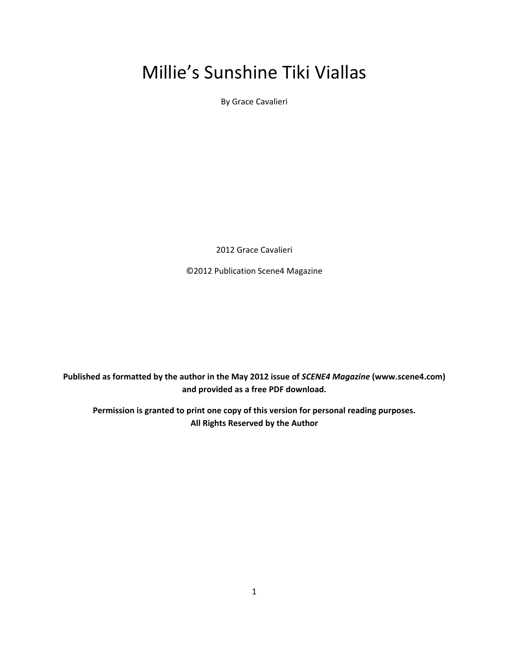# Millie's Sunshine Tiki Viallas

By Grace Cavalieri

2012 Grace Cavalieri

©2012 Publication Scene4 Magazine

**Published as formatted by the author in the May 2012 issue of** *SCENE4 Magazine* **(www.scene4.com) and provided as a free PDF download.**

**Permission is granted to print one copy of this version for personal reading purposes. All Rights Reserved by the Author**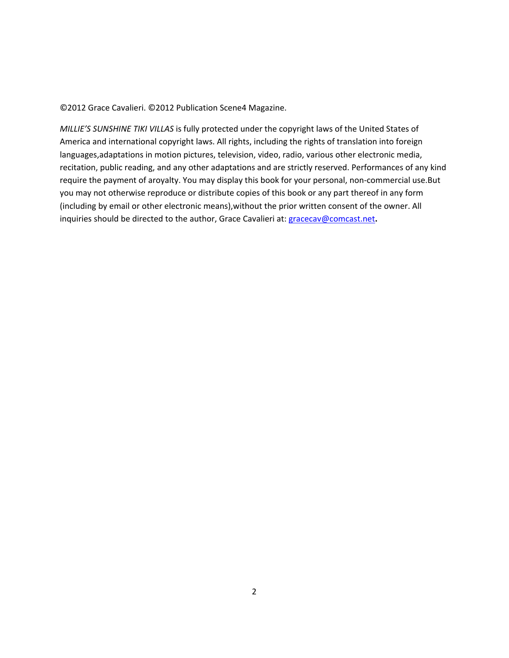©2012 Grace Cavalieri. ©2012 Publication Scene4 Magazine.

*MILLIE'S SUNSHINE TIKI VILLAS* is fully protected under the copyright laws of the United States of America and international copyright laws. All rights, including the rights of translation into foreign languages,adaptations in motion pictures, television, video, radio, various other electronic media, recitation, public reading, and any other adaptations and are strictly reserved. Performances of any kind require the payment of aroyalty. You may display this book for your personal, non‐commercial use.But you may not otherwise reproduce or distribute copies of this book or any part thereof in any form (including by email or other electronic means),without the prior written consent of the owner. All inquiries should be directed to the author, Grace Cavalieri at: [gracecav@comcast.net](mailto:gracecav@comcast.net)**.**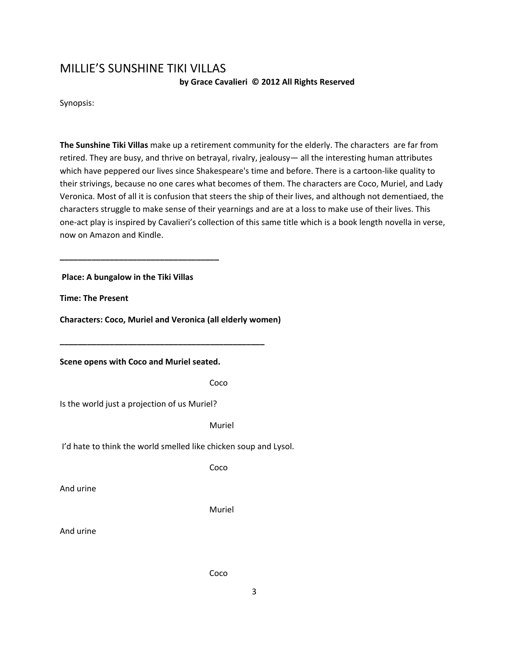## MILLIE'S SUNSHINE TIKI VILLAS

**by Grace Cavalieri © 2012 All Rights Reserved**

Synopsis:

**The Sunshine Tiki Villas** make up a retirement community for the elderly. The characters are far from retired. They are busy, and thrive on betrayal, rivalry, jealousy— all the interesting human attributes which have peppered our lives since Shakespeare's time and before. There is a cartoon‐like quality to their strivings, because no one cares what becomes of them. The characters are Coco, Muriel, and Lady Veronica. Most of all it is confusion that steers the ship of their lives, and although not dementiaed, the characters struggle to make sense of their yearnings and are at a loss to make use of their lives. This one‐act play is inspired by Cavalieri's collection of this same title which is a book length novella in verse, now on Amazon and Kindle.

**Place: A bungalow in the Tiki Villas**

**\_\_\_\_\_\_\_\_\_\_\_\_\_\_\_\_\_\_\_\_\_\_\_\_\_\_\_\_\_\_\_\_\_\_\_**

**Time: The Present**

**Characters: Coco, Muriel and Veronica (all elderly women)**

**\_\_\_\_\_\_\_\_\_\_\_\_\_\_\_\_\_\_\_\_\_\_\_\_\_\_\_\_\_\_\_\_\_\_\_\_\_\_\_\_\_\_\_\_\_**

**Scene opens with Coco and Muriel seated.**

Coco

Is the world just a projection of us Muriel?

Muriel

I'd hate to think the world smelled like chicken soup and Lysol.

Coco

And urine

Muriel

And urine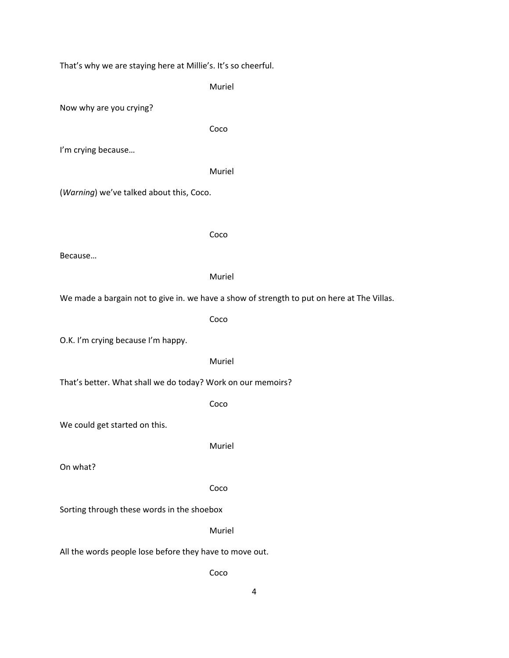That's why we are staying here at Millie's. It's so cheerful.

Muriel

Now why are you crying?

<u>Coco de la contrata de la coco de la coco de la coco de la coco de la coco de la coco de la coco de la coco d</u>

I'm crying because…

Muriel

(*Warning*) we've talked about this, Coco.

Coco

Because…

Muriel

We made a bargain not to give in. we have a show of strength to put on here at The Villas.

Coco

O.K. I'm crying because I'm happy.

Muriel

That's better. What shall we do today? Work on our memoirs?

Coco

We could get started on this.

Muriel

On what?

Coco

Sorting through these words in the shoebox

Muriel

All the words people lose before they have to move out.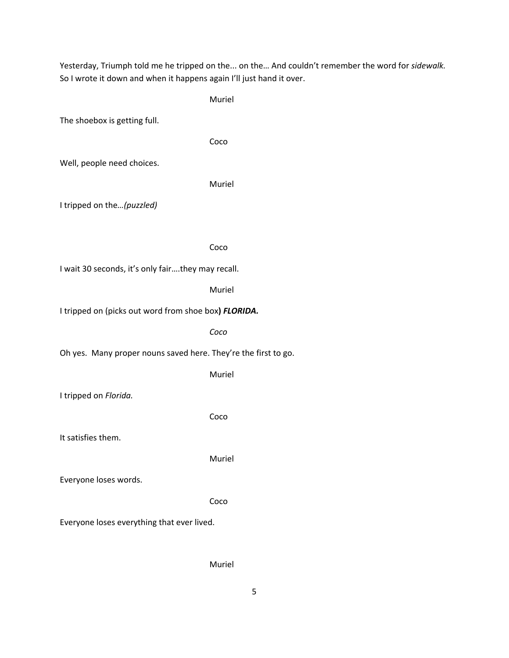Yesterday, Triumph told me he tripped on the... on the… And couldn't remember the word for *sidewalk.* So I wrote it down and when it happens again I'll just hand it over.

 Muriel The shoebox is getting full. Coco Well, people need choices. Muriel I tripped on the*…(puzzled)* Coco I wait 30 seconds, it's only fair….they may recall. Muriel I tripped on (picks out word from shoe box**)** *FLORIDA. Coco* Oh yes. Many proper nouns saved here. They're the first to go. Muriel I tripped on *Florida.* Coco It satisfies them. Muriel Everyone loses words. Coco Everyone loses everything that ever lived.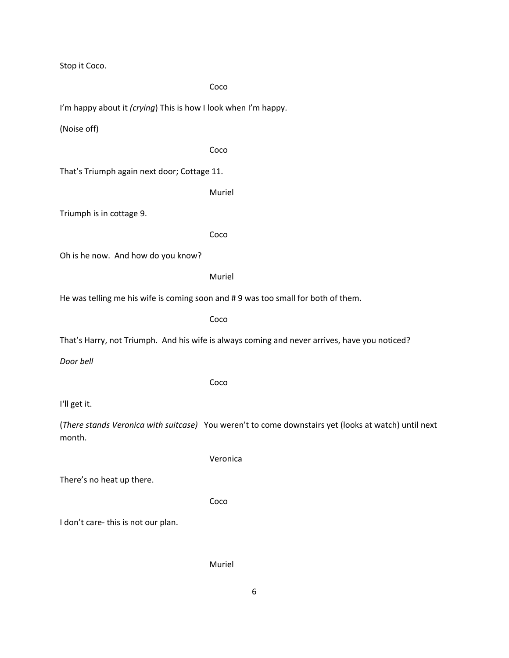Stop it Coco.

Coco I'm happy about it *(crying*) This is how I look when I'm happy. (Noise off) Coco That's Triumph again next door; Cottage 11. Muriel Triumph is in cottage 9. Coco Oh is he now. And how do you know? Muriel He was telling me his wife is coming soon and # 9 was too small for both of them. Coco That's Harry, not Triumph. And his wife is always coming and never arrives, have you noticed? *Door bell* Coco I'll get it. (*There stands Veronica with suitcase)* You weren't to come downstairs yet (looks at watch) until next month. Veronica There's no heat up there. Coco I don't care-this is not our plan. Muriel

6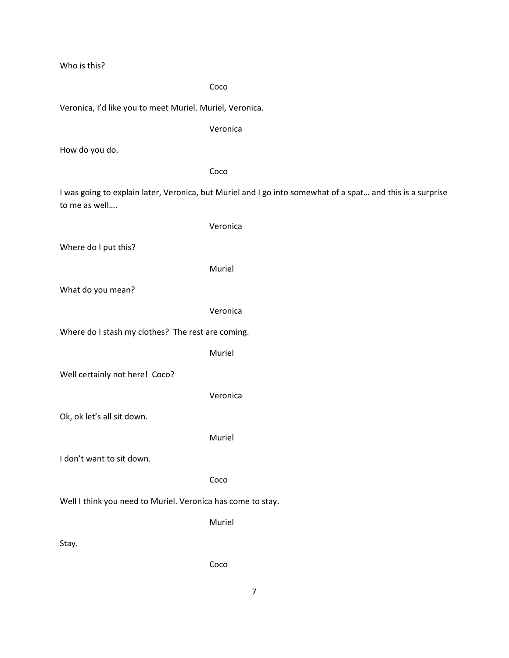Who is this?

Coco

Veronica, I'd like you to meet Muriel. Muriel, Veronica.

Veronica

How do you do.

Coco

I was going to explain later, Veronica, but Muriel and I go into somewhat of a spat… and this is a surprise to me as well….

Where do I put this?

Muriel

Veronica

What do you mean?

Veronica

Where do I stash my clothes? The rest are coming.

Muriel

Well certainly not here! Coco?

Veronica

Ok, ok let's all sit down.

Muriel

I don't want to sit down.

Coco

Well I think you need to Muriel. Veronica has come to stay.

Muriel

Stay.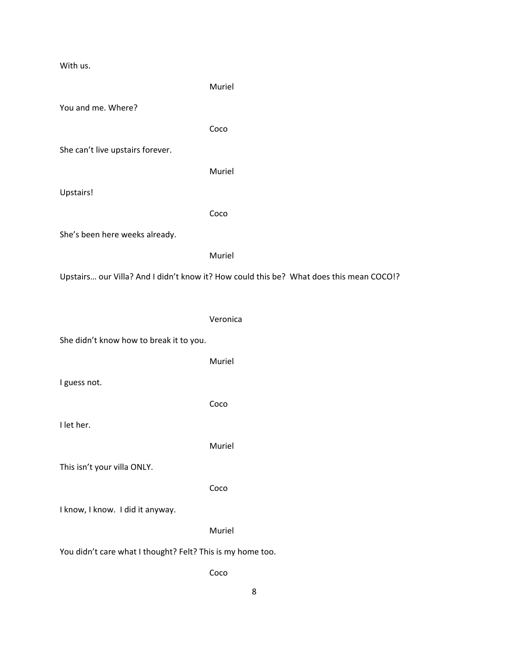With us. Muriel You and me. Where? Coco She can't live upstairs forever. Muriel Upstairs! Coco She's been here weeks already. Muriel Upstairs… our Villa? And I didn't know it? How could this be? What does this mean COCO!? Veronica She didn't know how to break it to you. Muriel I guess not. Coco I let her. Muriel This isn't your villa ONLY. <u>Coco de Santo Coco de Santo Coco de Santo Coco de Santo Coco de Santo Coco de Santo Coco de Santo Coco de Santo Coco de Santo Coco de Santo Coco de Santo Coco de Santo Coco de Santo Coco de Santo Coco de Santo Coco de San</u> I know, I know. I did it anyway. Muriel You didn't care what I thought? Felt? This is my home too. <u>Coco de la contrata de la coco de la coco de la coco de la coco de la coco de la coco de la coco de la coco d</u>

8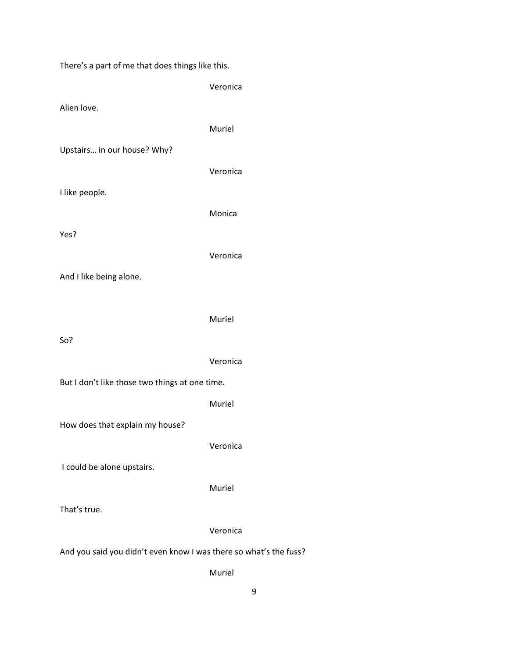There's a part of me that does things like this.

Veronica

Alien love.

Muriel

Upstairs… in our house? Why?

I like people.

Monica

Veronica

Yes?

Veronica

And I like being alone.

Muriel

So?

Veronica

But I don't like those two things at one time.

Muriel

How does that explain my house?

Veronica

I could be alone upstairs.

Muriel

That's true.

Veronica

And you said you didn't even know I was there so what's the fuss?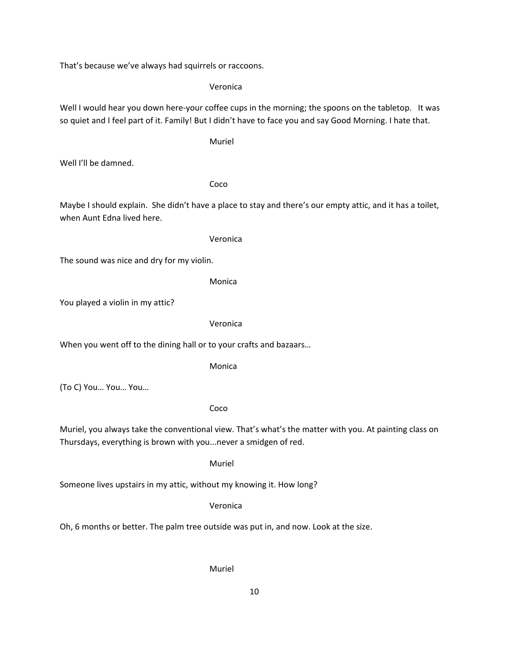That's because we've always had squirrels or raccoons.

Veronica

Well I would hear you down here-your coffee cups in the morning; the spoons on the tabletop. It was so quiet and I feel part of it. Family! But I didn't have to face you and say Good Morning. I hate that.

Muriel

Well I'll be damned.

Coco

Maybe I should explain. She didn't have a place to stay and there's our empty attic, and it has a toilet, when Aunt Edna lived here.

Veronica

The sound was nice and dry for my violin.

Monica

You played a violin in my attic?

Veronica

When you went off to the dining hall or to your crafts and bazaars…

Monica

(To C) You… You… You…

Coco

Muriel, you always take the conventional view. That's what's the matter with you. At painting class on Thursdays, everything is brown with you...never a smidgen of red.

Muriel

Someone lives upstairs in my attic, without my knowing it. How long?

#### Veronica

Oh, 6 months or better. The palm tree outside was put in, and now. Look at the size.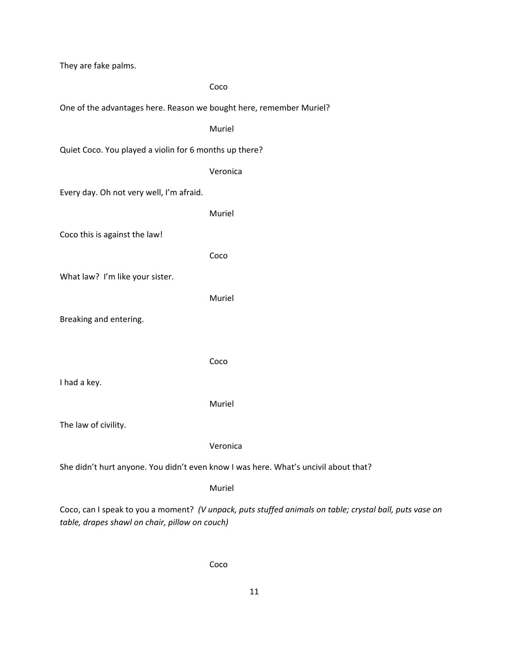They are fake palms.

|                                                                                                                                                           | Coco     |
|-----------------------------------------------------------------------------------------------------------------------------------------------------------|----------|
| One of the advantages here. Reason we bought here, remember Muriel?                                                                                       |          |
|                                                                                                                                                           | Muriel   |
| Quiet Coco. You played a violin for 6 months up there?                                                                                                    |          |
|                                                                                                                                                           | Veronica |
| Every day. Oh not very well, I'm afraid.                                                                                                                  |          |
|                                                                                                                                                           | Muriel   |
| Coco this is against the law!                                                                                                                             |          |
|                                                                                                                                                           | Coco     |
| What law? I'm like your sister.                                                                                                                           |          |
|                                                                                                                                                           | Muriel   |
| Breaking and entering.                                                                                                                                    |          |
|                                                                                                                                                           |          |
|                                                                                                                                                           | Coco     |
| I had a key.                                                                                                                                              |          |
|                                                                                                                                                           | Muriel   |
| The law of civility.                                                                                                                                      |          |
|                                                                                                                                                           | Veronica |
| She didn't hurt anyone. You didn't even know I was here. What's uncivil about that?                                                                       |          |
|                                                                                                                                                           | Muriel   |
| Coco, can I speak to you a moment? (V unpack, puts stuffed animals on table; crystal ball, puts vase on<br>table, drapes shawl on chair, pillow on couch) |          |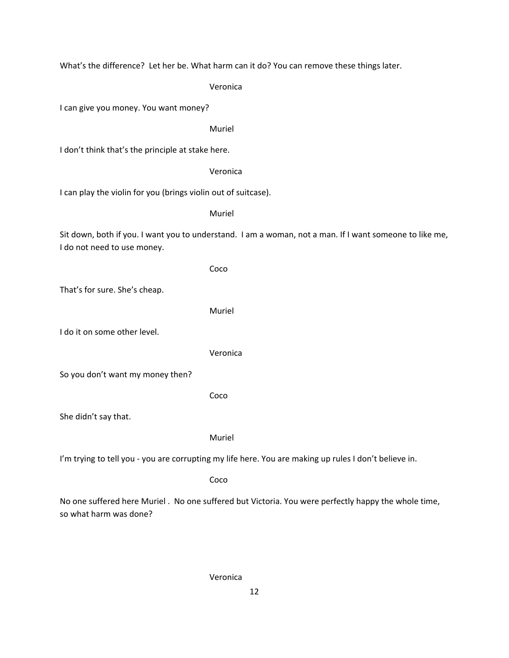What's the difference? Let her be. What harm can it do? You can remove these things later.

Veronica

I can give you money. You want money?

#### Muriel

I don't think that's the principle at stake here.

#### Veronica

I can play the violin for you (brings violin out of suitcase).

Muriel

Sit down, both if you. I want you to understand. I am a woman, not a man. If I want someone to like me, I do not need to use money.

That's for sure. She's cheap.

Muriel

Coco

I do it on some other level.

Veronica

So you don't want my money then?

Coco

She didn't say that.

Muriel

I'm trying to tell you - you are corrupting my life here. You are making up rules I don't believe in.

Coco

No one suffered here Muriel . No one suffered but Victoria. You were perfectly happy the whole time, so what harm was done?

Veronica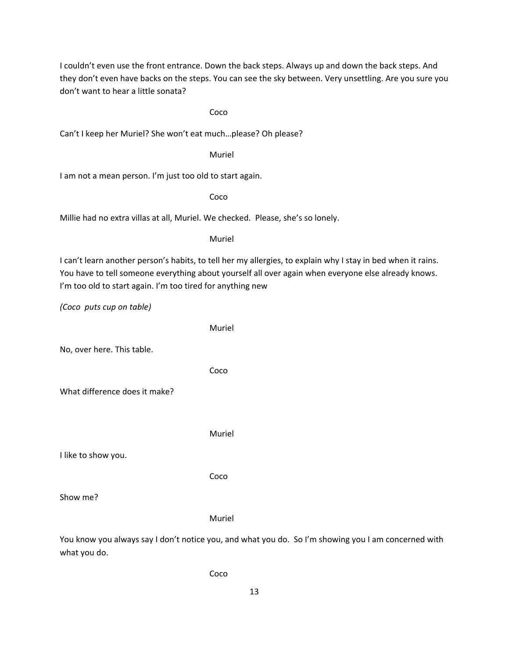I couldn't even use the front entrance. Down the back steps. Always up and down the back steps. And they don't even have backs on the steps. You can see the sky between. Very unsettling. Are you sure you don't want to hear a little sonata?

Coco

Can't I keep her Muriel? She won't eat much…please? Oh please?

Muriel

I am not a mean person. I'm just too old to start again.

Coco

Millie had no extra villas at all, Muriel. We checked. Please, she's so lonely.

Muriel

I can't learn another person's habits, to tell her my allergies, to explain why I stay in bed when it rains. You have to tell someone everything about yourself all over again when everyone else already knows. I'm too old to start again. I'm too tired for anything new

*(Coco puts cup on table)*

No, over here. This table.

Coco

Muriel

What difference does it make?

Muriel

I like to show you.

Coco

Show me?

Muriel

You know you always say I don't notice you, and what you do. So I'm showing you I am concerned with what you do.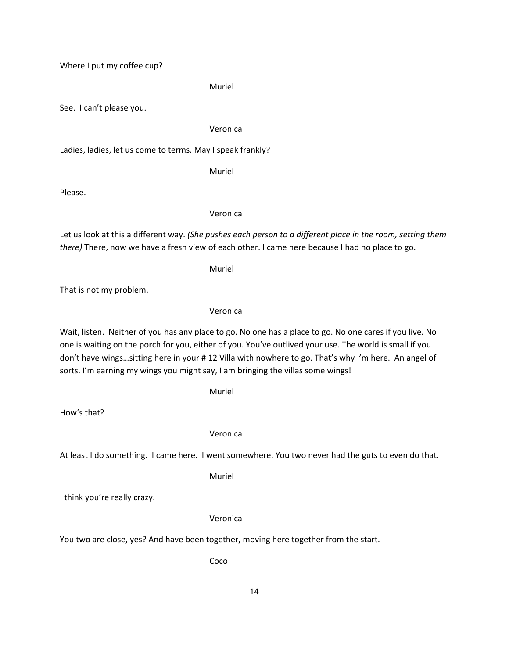Where I put my coffee cup?

Muriel

See. I can't please you.

#### Veronica

Ladies, ladies, let us come to terms. May I speak frankly?

Muriel

Please.

### Veronica

Let us look at this a different way. *(She pushes each person to a different place in the room, setting them there)* There, now we have a fresh view of each other. I came here because I had no place to go.

Muriel

That is not my problem.

Veronica

Wait, listen. Neither of you has any place to go. No one has a place to go. No one cares if you live. No one is waiting on the porch for you, either of you. You've outlived your use. The world is small if you don't have wings…sitting here in your # 12 Villa with nowhere to go. That's why I'm here. An angel of sorts. I'm earning my wings you might say, I am bringing the villas some wings!

Muriel

How's that?

#### Veronica

At least I do something. I came here. I went somewhere. You two never had the guts to even do that.

Muriel

I think you're really crazy.

#### Veronica

You two are close, yes? And have been together, moving here together from the start.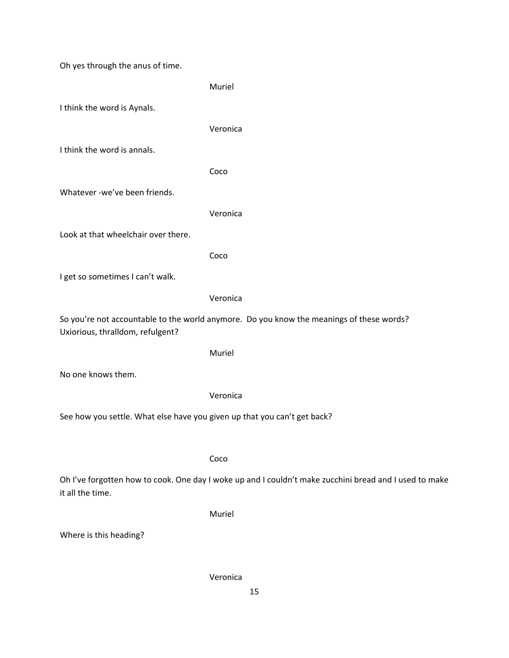Oh yes through the anus of time.

Muriel

I think the word is Aynals.

Veronica

I think the word is annals.

Coco

Whatever -we've been friends.

Veronica

Look at that wheelchair over there.

Coco

I get so sometimes I can't walk.

#### Veronica

So you're not accountable to the world anymore. Do you know the meanings of these words? Uxiorious, thralldom, refulgent?

#### Muriel

No one knows them.

#### Veronica

See how you settle. What else have you given up that you can't get back?

Coco

Oh I've forgotten how to cook. One day I woke up and I couldn't make zucchini bread and I used to make it all the time.

Muriel

Where is this heading?

Veronica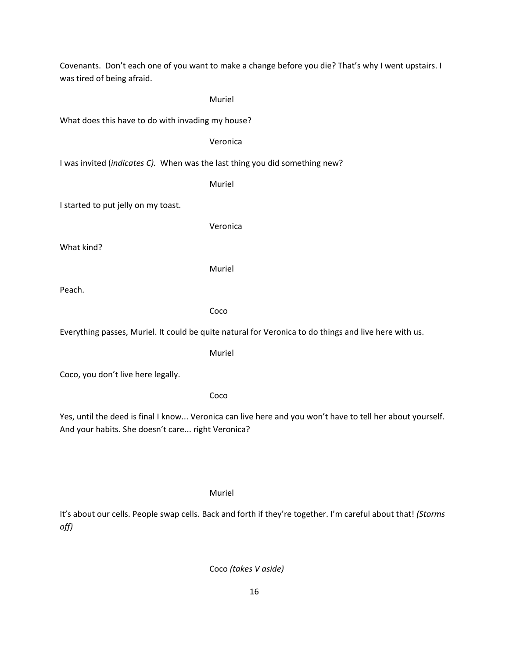Covenants. Don't each one of you want to make a change before you die? That's why I went upstairs. I was tired of being afraid.

Muriel

What does this have to do with invading my house?

#### Veronica

I was invited (*indicates C).* When was the last thing you did something new?

Muriel

I started to put jelly on my toast.

Veronica

What kind?

Muriel

Peach.

Coco

Everything passes, Muriel. It could be quite natural for Veronica to do things and live here with us.

Muriel

Coco, you don't live here legally.

Coco

Yes, until the deed is final I know... Veronica can live here and you won't have to tell her about yourself. And your habits. She doesn't care... right Veronica?

Muriel

It's about our cells. People swap cells. Back and forth if they're together. I'm careful about that! *(Storms off)*

Coco *(takes V aside)*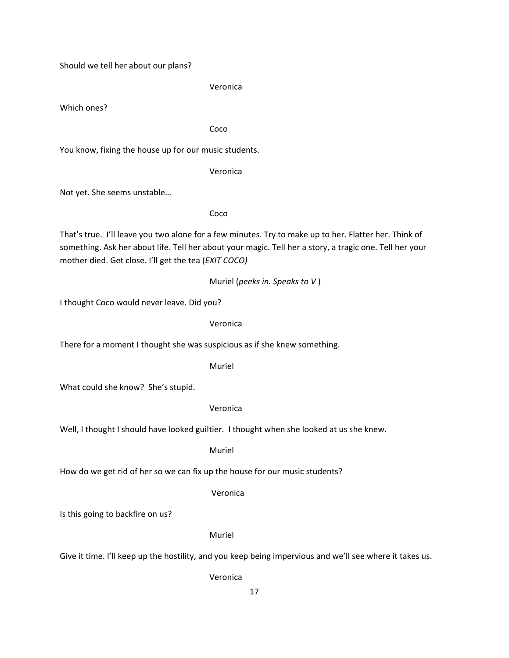Should we tell her about our plans?

Veronica

Which ones?

Coco

You know, fixing the house up for our music students.

Veronica

Not yet. She seems unstable…

Coco

That's true. I'll leave you two alone for a few minutes. Try to make up to her. Flatter her. Think of something. Ask her about life. Tell her about your magic. Tell her a story, a tragic one. Tell her your mother died. Get close. I'll get the tea (*EXIT COCO)*

Muriel (*peeks in. Speaks to V* )

I thought Coco would never leave. Did you?

Veronica

There for a moment I thought she was suspicious as if she knew something.

Muriel

What could she know? She's stupid.

Veronica

Well, I thought I should have looked guiltier. I thought when she looked at us she knew.

Muriel

How do we get rid of her so we can fix up the house for our music students?

#### Veronica

Is this going to backfire on us?

Muriel

Give it time. I'll keep up the hostility, and you keep being impervious and we'll see where it takes us.

Veronica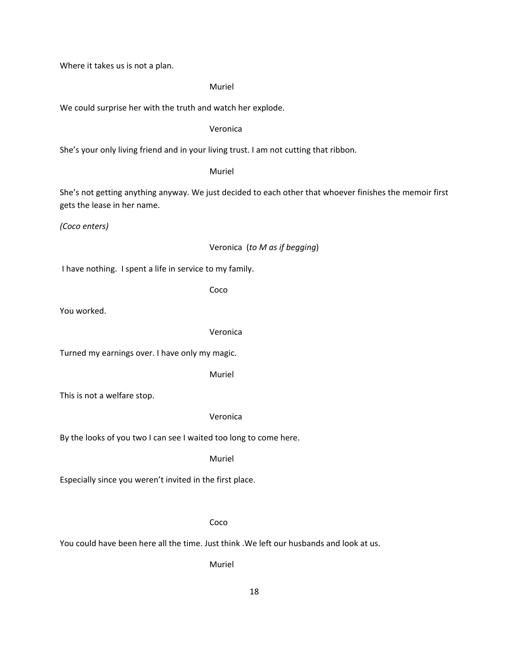Where it takes us is not a plan.

### Muriel

We could surprise her with the truth and watch her explode.

#### Veronica

She's your only living friend and in your living trust. I am not cutting that ribbon.

Muriel

She's not getting anything anyway. We just decided to each other that whoever finishes the memoir first gets the lease in her name.

*(Coco enters)*

### Veronica (*to M as if begging*)

I have nothing. I spent a life in service to my family.

Coco

You worked.

#### Veronica

Turned my earnings over. I have only my magic.

Muriel

This is not a welfare stop.

Veronica

By the looks of you two I can see I waited too long to come here.

Muriel

Especially since you weren't invited in the first place.

### Coco

You could have been here all the time. Just think .We left our husbands and look at us.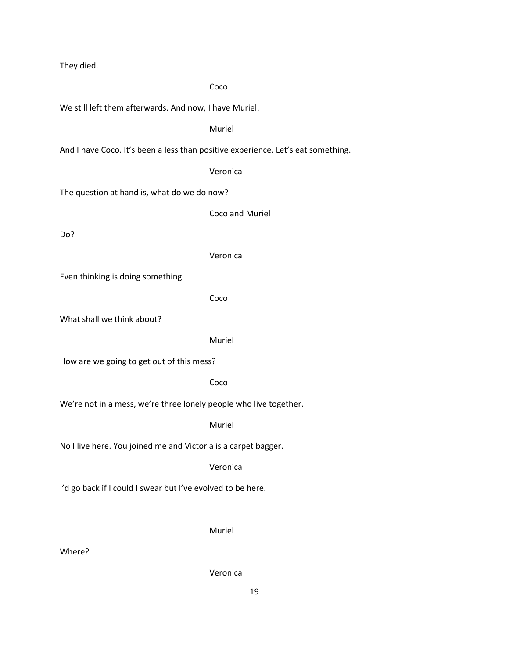They died.

#### Coco

We still left them afterwards. And now, I have Muriel.

#### Muriel

And I have Coco. It's been a less than positive experience. Let's eat something.

Veronica

The question at hand is, what do we do now?

Coco and Muriel

Do?

#### Veronica

Even thinking is doing something.

Coco

What shall we think about?

Muriel

How are we going to get out of this mess?

#### Coco

We're not in a mess, we're three lonely people who live together.

Muriel

No I live here. You joined me and Victoria is a carpet bagger.

### Veronica

I'd go back if I could I swear but I've evolved to be here.

Muriel

Where?

Veronica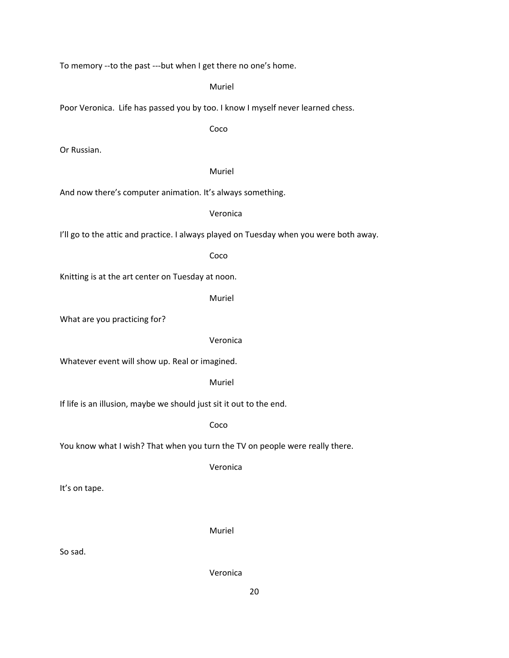To memory ‐‐to the past ‐‐‐but when I get there no one's home.

Muriel

Poor Veronica. Life has passed you by too. I know I myself never learned chess.

Coco

Or Russian.

Muriel

And now there's computer animation. It's always something.

Veronica

I'll go to the attic and practice. I always played on Tuesday when you were both away.

Coco

Knitting is at the art center on Tuesday at noon.

Muriel

What are you practicing for?

Veronica

Whatever event will show up. Real or imagined.

#### Muriel

If life is an illusion, maybe we should just sit it out to the end.

Coco

You know what I wish? That when you turn the TV on people were really there.

Veronica

It's on tape.

Muriel

So sad.

Veronica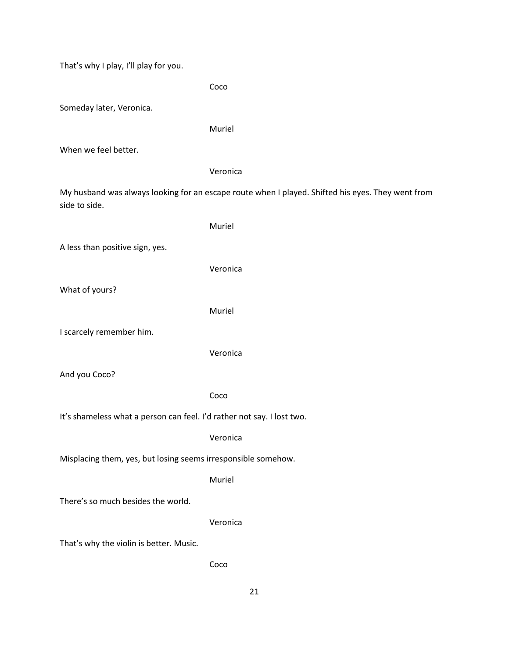That's why I play, I'll play for you.

Coco

Someday later, Veronica.

Muriel

When we feel better.

Veronica

My husband was always looking for an escape route when I played. Shifted his eyes. They went from side to side.

A less than positive sign, yes.

Veronica

Muriel

What of yours?

Muriel

I scarcely remember him.

Veronica

And you Coco?

Coco

It's shameless what a person can feel. I'd rather not say. I lost two.

Veronica

Misplacing them, yes, but losing seems irresponsible somehow.

Muriel

There's so much besides the world.

Veronica

That's why the violin is better. Music.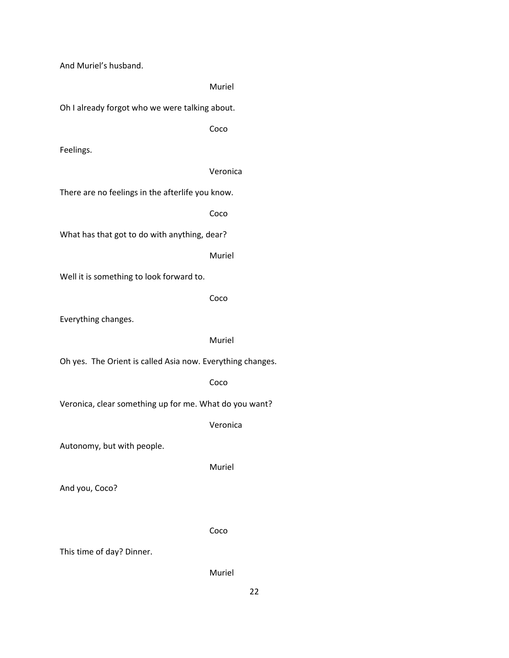And Muriel's husband.

Muriel

Oh I already forgot who we were talking about.

Coco

Feelings.

Veronica

There are no feelings in the afterlife you know.

Coco

What has that got to do with anything, dear?

Muriel

Well it is something to look forward to.

Coco

Everything changes.

Muriel

Oh yes. The Orient is called Asia now. Everything changes.

Coco

Veronica, clear something up for me. What do you want?

Veronica

Autonomy, but with people.

Muriel

And you, Coco?

Coco

This time of day? Dinner.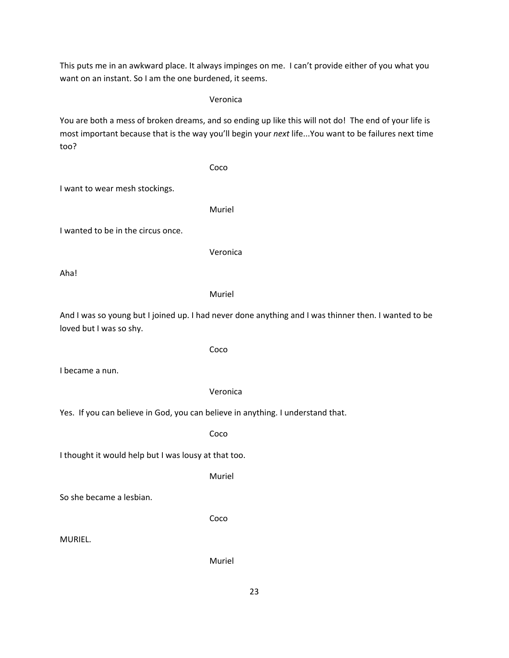This puts me in an awkward place. It always impinges on me. I can't provide either of you what you want on an instant. So I am the one burdened, it seems.

Veronica

You are both a mess of broken dreams, and so ending up like this will not do! The end of your life is most important because that is the way you'll begin your *next* life...You want to be failures next time too?

I want to wear mesh stockings.

Muriel

Coco

I wanted to be in the circus once.

Veronica

Aha!

Muriel

Coco

And I was so young but I joined up. I had never done anything and I was thinner then. I wanted to be loved but I was so shy.

I became a nun.

### Veronica

Yes. If you can believe in God, you can believe in anything. I understand that.

Coco

I thought it would help but I was lousy at that too.

Muriel

So she became a lesbian.

Coco

MURIEL.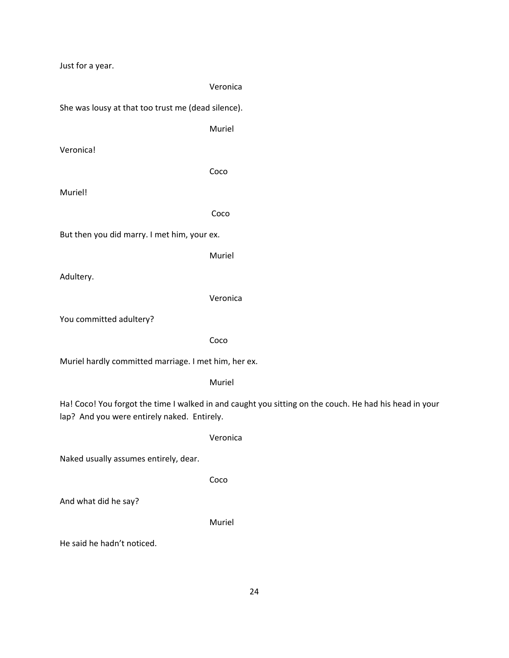Just for a year.

Veronica

She was lousy at that too trust me (dead silence).

Muriel

Veronica!

Coco

Muriel!

Coco

But then you did marry. I met him, your ex.

Muriel

Adultery.

Veronica

You committed adultery?

Coco

Muriel hardly committed marriage. I met him, her ex.

Muriel

Ha! Coco! You forgot the time I walked in and caught you sitting on the couch. He had his head in your lap? And you were entirely naked. Entirely.

Veronica

Naked usually assumes entirely, dear.

Coco

And what did he say?

Muriel

He said he hadn't noticed.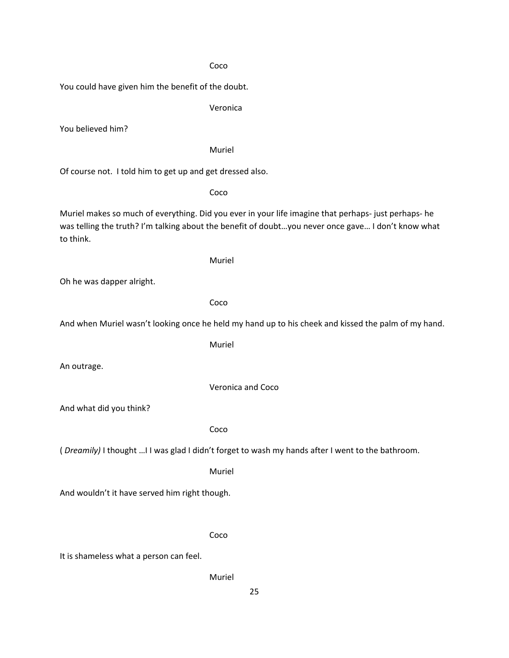Muriel makes so much of everything. Did you ever in your life imagine that perhaps‐ just perhaps‐ he was telling the truth? I'm talking about the benefit of doubt…you never once gave… I don't know what

Coco

Oh he was dapper alright.

You believed him?

And when Muriel wasn't looking once he held my hand up to his cheek and kissed the palm of my hand.

An outrage.

to think.

And what did you think?

( *Dreamily)* I thought …I I was glad I didn't forget to wash my hands after I went to the bathroom.

And wouldn't it have served him right though.

It is shameless what a person can feel.

Muriel

Veronica and Coco

Coco

Of course not. I told him to get up and get dressed also.

Coco

# Veronica

Coco

You could have given him the benefit of the doubt.

## Muriel

## Muriel

# Muriel

Muriel